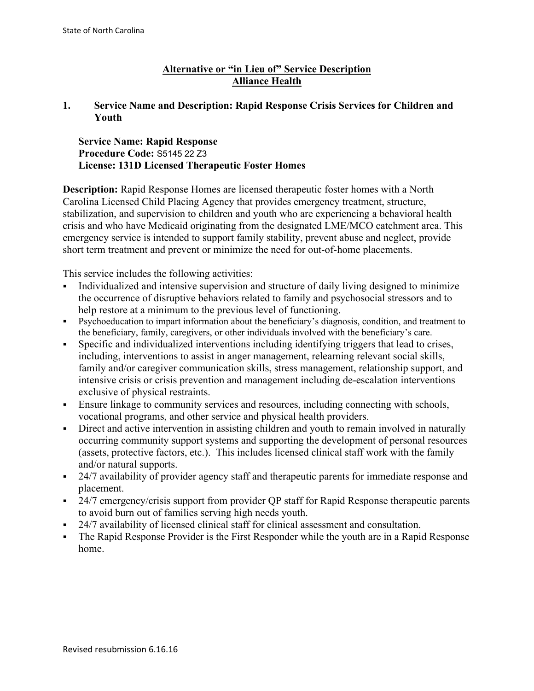# **Alternative or "in Lieu of" Service Description Alliance Health**

### **1. Service Name and Description: Rapid Response Crisis Services for Children and Youth**

### **Service Name: Rapid Response Procedure Code:** S5145 22 Z3 **License: 131D Licensed Therapeutic Foster Homes**

**Description:** Rapid Response Homes are licensed therapeutic foster homes with a North Carolina Licensed Child Placing Agency that provides emergency treatment, structure, stabilization, and supervision to children and youth who are experiencing a behavioral health crisis and who have Medicaid originating from the designated LME/MCO catchment area. This emergency service is intended to support family stability, prevent abuse and neglect, provide short term treatment and prevent or minimize the need for out-of-home placements.

This service includes the following activities:

- Individualized and intensive supervision and structure of daily living designed to minimize the occurrence of disruptive behaviors related to family and psychosocial stressors and to help restore at a minimum to the previous level of functioning.
- Psychoeducation to impart information about the beneficiary's diagnosis, condition, and treatment to the beneficiary, family, caregivers, or other individuals involved with the beneficiary's care.
- Specific and individualized interventions including identifying triggers that lead to crises, including, interventions to assist in anger management, relearning relevant social skills, family and/or caregiver communication skills, stress management, relationship support, and intensive crisis or crisis prevention and management including de-escalation interventions exclusive of physical restraints.
- Ensure linkage to community services and resources, including connecting with schools, vocational programs, and other service and physical health providers.
- Direct and active intervention in assisting children and youth to remain involved in naturally occurring community support systems and supporting the development of personal resources (assets, protective factors, etc.). This includes licensed clinical staff work with the family and/or natural supports.
- <sup>24/7</sup> availability of provider agency staff and therapeutic parents for immediate response and placement.
- <sup>24/7</sup> emergency/crisis support from provider QP staff for Rapid Response therapeutic parents to avoid burn out of families serving high needs youth.
- 24/7 availability of licensed clinical staff for clinical assessment and consultation.
- The Rapid Response Provider is the First Responder while the youth are in a Rapid Response home.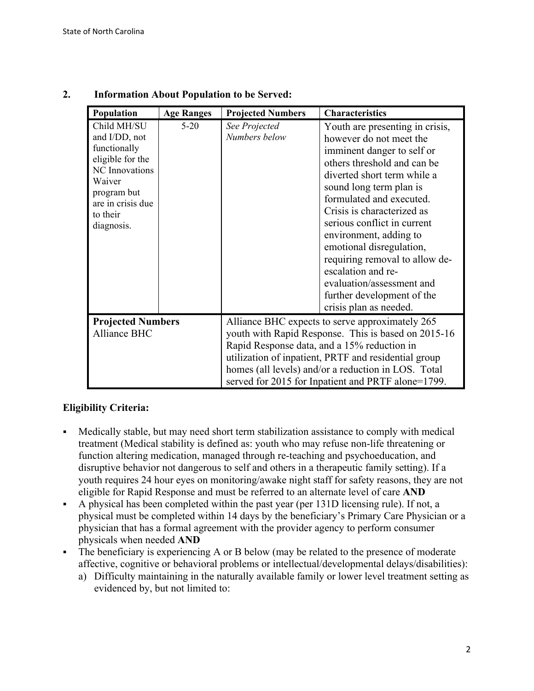| Population                                                                                                                                                        | <b>Age Ranges</b> | <b>Projected Numbers</b>                                                                                                                                                                                                                                                                                                   | <b>Characteristics</b>                                                                                                                                                                                                                                                                                                                                                                                                                                                        |
|-------------------------------------------------------------------------------------------------------------------------------------------------------------------|-------------------|----------------------------------------------------------------------------------------------------------------------------------------------------------------------------------------------------------------------------------------------------------------------------------------------------------------------------|-------------------------------------------------------------------------------------------------------------------------------------------------------------------------------------------------------------------------------------------------------------------------------------------------------------------------------------------------------------------------------------------------------------------------------------------------------------------------------|
| Child MH/SU<br>and I/DD, not<br>functionally<br>eligible for the<br><b>NC</b> Innovations<br>Waiver<br>program but<br>are in crisis due<br>to their<br>diagnosis. | $5-20$            | See Projected<br>Numbers below                                                                                                                                                                                                                                                                                             | Youth are presenting in crisis,<br>however do not meet the<br>imminent danger to self or<br>others threshold and can be<br>diverted short term while a<br>sound long term plan is<br>formulated and executed.<br>Crisis is characterized as<br>serious conflict in current<br>environment, adding to<br>emotional disregulation,<br>requiring removal to allow de-<br>escalation and re-<br>evaluation/assessment and<br>further development of the<br>crisis plan as needed. |
| <b>Projected Numbers</b><br><b>Alliance BHC</b>                                                                                                                   |                   | Alliance BHC expects to serve approximately 265<br>youth with Rapid Response. This is based on 2015-16<br>Rapid Response data, and a 15% reduction in<br>utilization of inpatient, PRTF and residential group<br>homes (all levels) and/or a reduction in LOS. Total<br>served for 2015 for Inpatient and PRTF alone=1799. |                                                                                                                                                                                                                                                                                                                                                                                                                                                                               |

# **2. Information About Population to be Served:**

# **Eligibility Criteria:**

- Medically stable, but may need short term stabilization assistance to comply with medical treatment (Medical stability is defined as: youth who may refuse non-life threatening or function altering medication, managed through re-teaching and psychoeducation, and disruptive behavior not dangerous to self and others in a therapeutic family setting). If a youth requires 24 hour eyes on monitoring/awake night staff for safety reasons, they are not eligible for Rapid Response and must be referred to an alternate level of care **AND**
- A physical has been completed within the past year (per 131D licensing rule). If not, a physical must be completed within 14 days by the beneficiary's Primary Care Physician or a physician that has a formal agreement with the provider agency to perform consumer physicals when needed **AND**
- The beneficiary is experiencing A or B below (may be related to the presence of moderate affective, cognitive or behavioral problems or intellectual/developmental delays/disabilities):
	- a) Difficulty maintaining in the naturally available family or lower level treatment setting as evidenced by, but not limited to: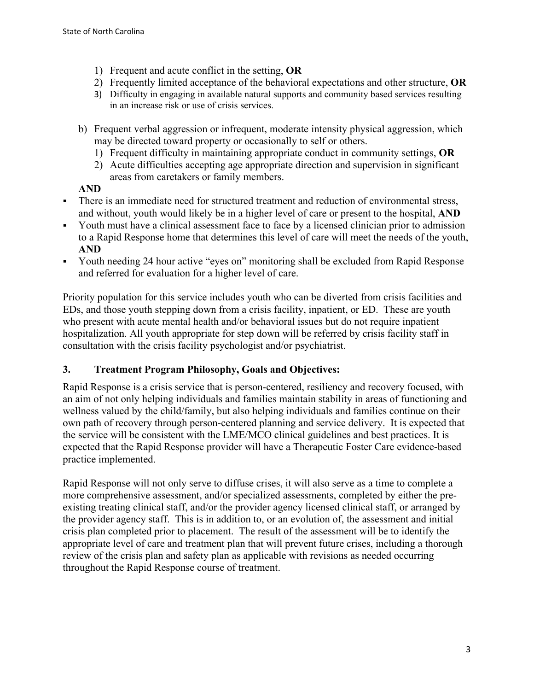- 1) Frequent and acute conflict in the setting, **OR**
- 2) Frequently limited acceptance of the behavioral expectations and other structure, **OR**
- 3) Difficulty in engaging in available natural supports and community based services resulting in an increase risk or use of crisis services.
- b) Frequent verbal aggression or infrequent, moderate intensity physical aggression, which may be directed toward property or occasionally to self or others.
	- 1) Frequent difficulty in maintaining appropriate conduct in community settings, **OR**
	- 2) Acute difficulties accepting age appropriate direction and supervision in significant areas from caretakers or family members.

# **AND**

- There is an immediate need for structured treatment and reduction of environmental stress, and without, youth would likely be in a higher level of care or present to the hospital, **AND**
- Youth must have a clinical assessment face to face by a licensed clinician prior to admission to a Rapid Response home that determines this level of care will meet the needs of the youth, **AND**
- Youth needing 24 hour active "eyes on" monitoring shall be excluded from Rapid Response and referred for evaluation for a higher level of care.

Priority population for this service includes youth who can be diverted from crisis facilities and EDs, and those youth stepping down from a crisis facility, inpatient, or ED. These are youth who present with acute mental health and/or behavioral issues but do not require inpatient hospitalization. All youth appropriate for step down will be referred by crisis facility staff in consultation with the crisis facility psychologist and/or psychiatrist.

# **3. Treatment Program Philosophy, Goals and Objectives:**

Rapid Response is a crisis service that is person-centered, resiliency and recovery focused, with an aim of not only helping individuals and families maintain stability in areas of functioning and wellness valued by the child/family, but also helping individuals and families continue on their own path of recovery through person-centered planning and service delivery. It is expected that the service will be consistent with the LME/MCO clinical guidelines and best practices. It is expected that the Rapid Response provider will have a Therapeutic Foster Care evidence-based practice implemented.

Rapid Response will not only serve to diffuse crises, it will also serve as a time to complete a more comprehensive assessment, and/or specialized assessments, completed by either the preexisting treating clinical staff, and/or the provider agency licensed clinical staff, or arranged by the provider agency staff. This is in addition to, or an evolution of, the assessment and initial crisis plan completed prior to placement. The result of the assessment will be to identify the appropriate level of care and treatment plan that will prevent future crises, including a thorough review of the crisis plan and safety plan as applicable with revisions as needed occurring throughout the Rapid Response course of treatment.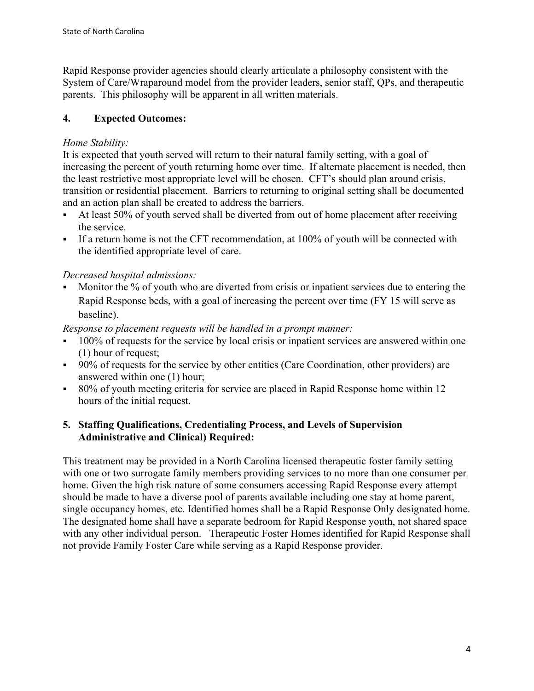Rapid Response provider agencies should clearly articulate a philosophy consistent with the System of Care/Wraparound model from the provider leaders, senior staff, QPs, and therapeutic parents. This philosophy will be apparent in all written materials.

# **4. Expected Outcomes:**

# *Home Stability:*

It is expected that youth served will return to their natural family setting, with a goal of increasing the percent of youth returning home over time. If alternate placement is needed, then the least restrictive most appropriate level will be chosen. CFT's should plan around crisis, transition or residential placement. Barriers to returning to original setting shall be documented and an action plan shall be created to address the barriers.

- At least 50% of youth served shall be diverted from out of home placement after receiving the service.
- If a return home is not the CFT recommendation, at 100% of youth will be connected with the identified appropriate level of care.

# *Decreased hospital admissions:*

 Monitor the % of youth who are diverted from crisis or inpatient services due to entering the Rapid Response beds, with a goal of increasing the percent over time (FY 15 will serve as baseline).

*Response to placement requests will be handled in a prompt manner:*

- 100% of requests for the service by local crisis or inpatient services are answered within one (1) hour of request;
- 90% of requests for the service by other entities (Care Coordination, other providers) are answered within one (1) hour;
- 80% of youth meeting criteria for service are placed in Rapid Response home within 12 hours of the initial request.

### **5. Staffing Qualifications, Credentialing Process, and Levels of Supervision Administrative and Clinical) Required:**

This treatment may be provided in a North Carolina licensed therapeutic foster family setting with one or two surrogate family members providing services to no more than one consumer per home. Given the high risk nature of some consumers accessing Rapid Response every attempt should be made to have a diverse pool of parents available including one stay at home parent, single occupancy homes, etc. Identified homes shall be a Rapid Response Only designated home. The designated home shall have a separate bedroom for Rapid Response youth, not shared space with any other individual person. Therapeutic Foster Homes identified for Rapid Response shall not provide Family Foster Care while serving as a Rapid Response provider.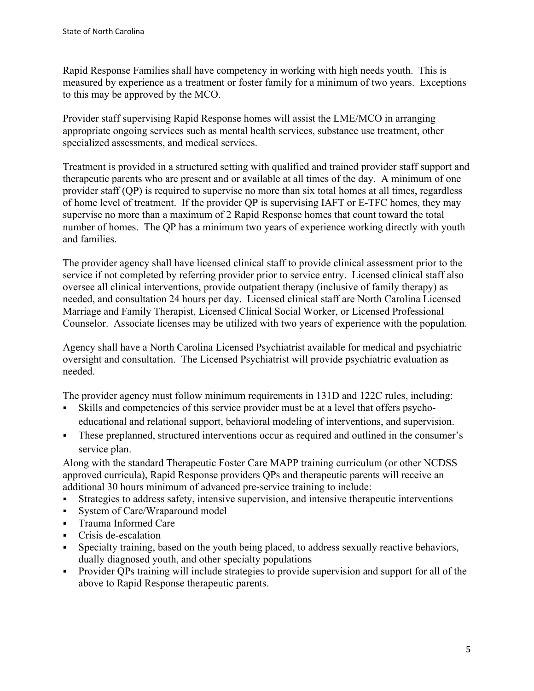Rapid Response Families shall have competency in working with high needs youth. This is measured by experience as a treatment or foster family for a minimum of two years. Exceptions to this may be approved by the MCO.

Provider staff supervising Rapid Response homes will assist the LME/MCO in arranging appropriate ongoing services such as mental health services, substance use treatment, other specialized assessments, and medical services.

Treatment is provided in a structured setting with qualified and trained provider staff support and therapeutic parents who are present and or available at all times of the day. A minimum of one provider staff (QP) is required to supervise no more than six total homes at all times, regardless of home level of treatment. If the provider QP is supervising IAFT or E-TFC homes, they may supervise no more than a maximum of 2 Rapid Response homes that count toward the total number of homes. The QP has a minimum two years of experience working directly with youth and families.

The provider agency shall have licensed clinical staff to provide clinical assessment prior to the service if not completed by referring provider prior to service entry. Licensed clinical staff also oversee all clinical interventions, provide outpatient therapy (inclusive of family therapy) as needed, and consultation 24 hours per day. Licensed clinical staff are North Carolina Licensed Marriage and Family Therapist, Licensed Clinical Social Worker, or Licensed Professional Counselor. Associate licenses may be utilized with two years of experience with the population.

Agency shall have a North Carolina Licensed Psychiatrist available for medical and psychiatric oversight and consultation. The Licensed Psychiatrist will provide psychiatric evaluation as needed.

The provider agency must follow minimum requirements in 131D and 122C rules, including:

- Skills and competencies of this service provider must be at a level that offers psychoeducational and relational support, behavioral modeling of interventions, and supervision.
- These preplanned, structured interventions occur as required and outlined in the consumer's service plan.

Along with the standard Therapeutic Foster Care MAPP training curriculum (or other NCDSS approved curricula), Rapid Response providers QPs and therapeutic parents will receive an additional 30 hours minimum of advanced pre-service training to include:

- Strategies to address safety, intensive supervision, and intensive therapeutic interventions
- System of Care/Wraparound model
- Trauma Informed Care
- Crisis de-escalation
- Specialty training, based on the youth being placed, to address sexually reactive behaviors, dually diagnosed youth, and other specialty populations
- Provider QPs training will include strategies to provide supervision and support for all of the above to Rapid Response therapeutic parents.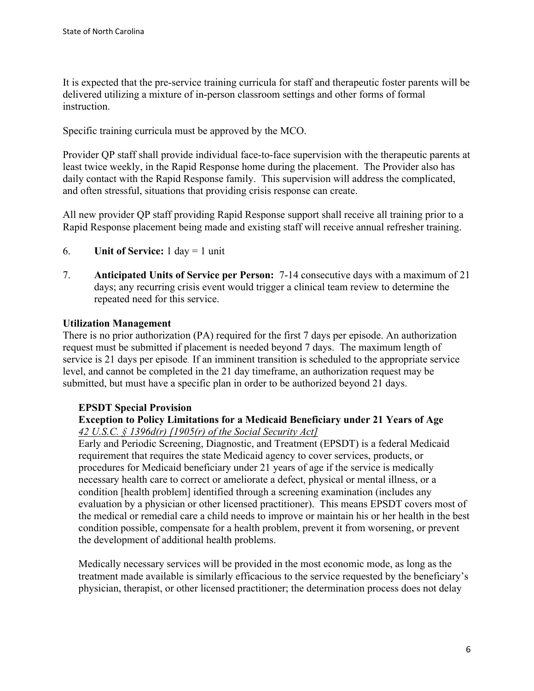It is expected that the pre-service training curricula for staff and therapeutic foster parents will be delivered utilizing a mixture of in-person classroom settings and other forms of formal instruction.

Specific training curricula must be approved by the MCO.

Provider QP staff shall provide individual face-to-face supervision with the therapeutic parents at least twice weekly, in the Rapid Response home during the placement. The Provider also has daily contact with the Rapid Response family. This supervision will address the complicated, and often stressful, situations that providing crisis response can create.

All new provider QP staff providing Rapid Response support shall receive all training prior to a Rapid Response placement being made and existing staff will receive annual refresher training.

- 6. **Unit of Service:** 1 day = 1 unit
- 7. **Anticipated Units of Service per Person:** 7-14 consecutive days with a maximum of 21 days; any recurring crisis event would trigger a clinical team review to determine the repeated need for this service.

### **Utilization Management**

There is no prior authorization (PA) required for the first 7 days per episode. An authorization request must be submitted if placement is needed beyond 7 days. The maximum length of service is 21 days per episode. If an imminent transition is scheduled to the appropriate service level, and cannot be completed in the 21 day timeframe, an authorization request may be submitted, but must have a specific plan in order to be authorized beyond 21 days.

#### **EPSDT Special Provision**

### **Exception to Policy Limitations for a Medicaid Beneficiary under 21 Years of Age**  *42 U.S.C. § 1396d(r) [1905(r) of the Social Security Act]*

Early and Periodic Screening, Diagnostic, and Treatment (EPSDT) is a federal Medicaid requirement that requires the state Medicaid agency to cover services, products, or procedures for Medicaid beneficiary under 21 years of age if the service is medically necessary health care to correct or ameliorate a defect, physical or mental illness, or a condition [health problem] identified through a screening examination (includes any evaluation by a physician or other licensed practitioner). This means EPSDT covers most of the medical or remedial care a child needs to improve or maintain his or her health in the best condition possible, compensate for a health problem, prevent it from worsening, or prevent the development of additional health problems.

Medically necessary services will be provided in the most economic mode, as long as the treatment made available is similarly efficacious to the service requested by the beneficiary's physician, therapist, or other licensed practitioner; the determination process does not delay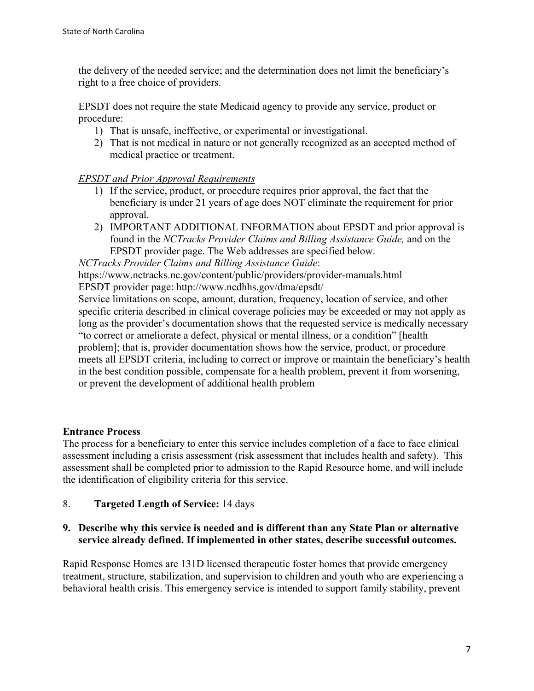the delivery of the needed service; and the determination does not limit the beneficiary's right to a free choice of providers.

EPSDT does not require the state Medicaid agency to provide any service, product or procedure:

- 1) That is unsafe, ineffective, or experimental or investigational.
- 2) That is not medical in nature or not generally recognized as an accepted method of medical practice or treatment.

## *EPSDT and Prior Approval Requirements*

- 1) If the service, product, or procedure requires prior approval, the fact that the beneficiary is under 21 years of age does NOT eliminate the requirement for prior approval.
- 2) IMPORTANT ADDITIONAL INFORMATION about EPSDT and prior approval is found in the *NCTracks Provider Claims and Billing Assistance Guide,* and on the EPSDT provider page. The Web addresses are specified below.

*NCTracks Provider Claims and Billing Assistance Guide*:

https://www.nctracks.nc.gov/content/public/providers/provider-manuals.html EPSDT provider page: http://www.ncdhhs.gov/dma/epsdt/

Service limitations on scope, amount, duration, frequency, location of service, and other specific criteria described in clinical coverage policies may be exceeded or may not apply as long as the provider's documentation shows that the requested service is medically necessary "to correct or ameliorate a defect, physical or mental illness, or a condition" [health problem]; that is, provider documentation shows how the service, product, or procedure meets all EPSDT criteria, including to correct or improve or maintain the beneficiary's health in the best condition possible, compensate for a health problem, prevent it from worsening, or prevent the development of additional health problem

### **Entrance Process**

The process for a beneficiary to enter this service includes completion of a face to face clinical assessment including a crisis assessment (risk assessment that includes health and safety). This assessment shall be completed prior to admission to the Rapid Resource home, and will include the identification of eligibility criteria for this service.

8. **Targeted Length of Service:** 14 days

# **9. Describe why this service is needed and is different than any State Plan or alternative service already defined. If implemented in other states, describe successful outcomes.**

Rapid Response Homes are 131D licensed therapeutic foster homes that provide emergency treatment, structure, stabilization, and supervision to children and youth who are experiencing a behavioral health crisis. This emergency service is intended to support family stability, prevent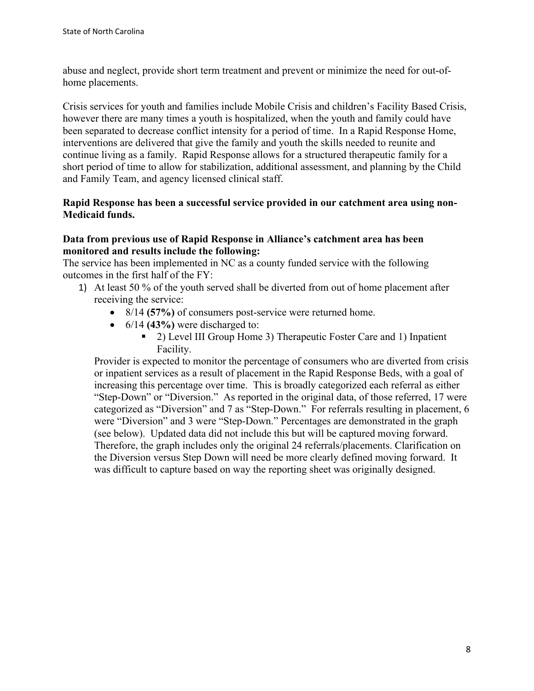abuse and neglect, provide short term treatment and prevent or minimize the need for out-ofhome placements.

Crisis services for youth and families include Mobile Crisis and children's Facility Based Crisis, however there are many times a youth is hospitalized, when the youth and family could have been separated to decrease conflict intensity for a period of time. In a Rapid Response Home, interventions are delivered that give the family and youth the skills needed to reunite and continue living as a family. Rapid Response allows for a structured therapeutic family for a short period of time to allow for stabilization, additional assessment, and planning by the Child and Family Team, and agency licensed clinical staff.

### **Rapid Response has been a successful service provided in our catchment area using non-Medicaid funds.**

### **Data from previous use of Rapid Response in Alliance's catchment area has been monitored and results include the following:**

The service has been implemented in NC as a county funded service with the following outcomes in the first half of the FY:

- 1) At least 50 % of the youth served shall be diverted from out of home placement after receiving the service:
	- 8/14 **(57%)** of consumers post-service were returned home.
	- 6/14 **(43%)** were discharged to:
		- 2) Level III Group Home 3) Therapeutic Foster Care and 1) Inpatient Facility.

Provider is expected to monitor the percentage of consumers who are diverted from crisis or inpatient services as a result of placement in the Rapid Response Beds, with a goal of increasing this percentage over time. This is broadly categorized each referral as either "Step-Down" or "Diversion." As reported in the original data, of those referred, 17 were categorized as "Diversion" and 7 as "Step-Down." For referrals resulting in placement, 6 were "Diversion" and 3 were "Step-Down." Percentages are demonstrated in the graph (see below). Updated data did not include this but will be captured moving forward. Therefore, the graph includes only the original 24 referrals/placements. Clarification on the Diversion versus Step Down will need be more clearly defined moving forward. It was difficult to capture based on way the reporting sheet was originally designed.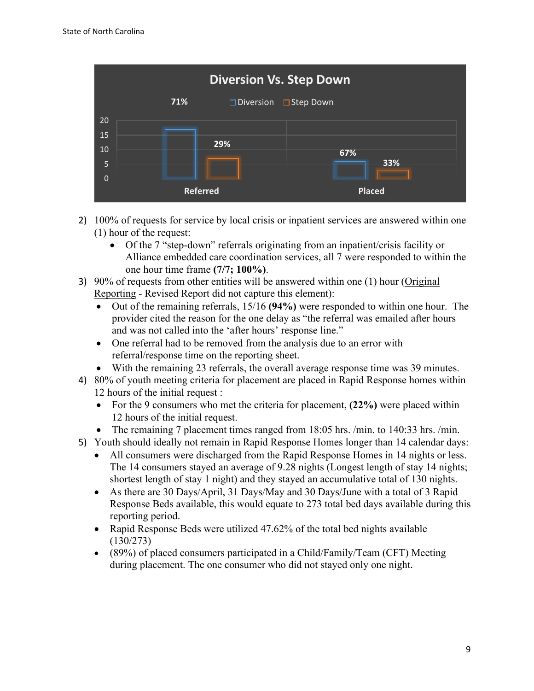| <b>Diversion Vs. Step Down</b> |     |                                         |               |  |  |  |
|--------------------------------|-----|-----------------------------------------|---------------|--|--|--|
|                                | 71% | $\square$ Diversion $\square$ Step Down |               |  |  |  |
| 20<br>15                       |     |                                         |               |  |  |  |
| 10                             |     | 29%                                     | 67%           |  |  |  |
| 5                              |     |                                         | 33%           |  |  |  |
| $\Omega$                       |     | <b>Referred</b>                         | <b>Placed</b> |  |  |  |

- 2) 100% of requests for service by local crisis or inpatient services are answered within one (1) hour of the request:
	- Of the 7 "step-down" referrals originating from an inpatient/crisis facility or Alliance embedded care coordination services, all 7 were responded to within the one hour time frame **(7/7; 100%)**.
- 3) 90% of requests from other entities will be answered within one (1) hour (Original Reporting - Revised Report did not capture this element):
	- Out of the remaining referrals, 15/16 **(94%)** were responded to within one hour. The provider cited the reason for the one delay as "the referral was emailed after hours and was not called into the 'after hours' response line."
	- One referral had to be removed from the analysis due to an error with referral/response time on the reporting sheet.
	- With the remaining 23 referrals, the overall average response time was 39 minutes.
- 4) 80% of youth meeting criteria for placement are placed in Rapid Response homes within 12 hours of the initial request :
	- For the 9 consumers who met the criteria for placement, **(22%)** were placed within 12 hours of the initial request.
	- The remaining 7 placement times ranged from 18:05 hrs. /min. to 140:33 hrs. /min.
- 5) Youth should ideally not remain in Rapid Response Homes longer than 14 calendar days:
	- All consumers were discharged from the Rapid Response Homes in 14 nights or less. The 14 consumers stayed an average of 9.28 nights (Longest length of stay 14 nights; shortest length of stay 1 night) and they stayed an accumulative total of 130 nights.
	- As there are 30 Days/April, 31 Days/May and 30 Days/June with a total of 3 Rapid Response Beds available, this would equate to 273 total bed days available during this reporting period.
	- Rapid Response Beds were utilized 47.62% of the total bed nights available (130/273)
	- (89%) of placed consumers participated in a Child/Family/Team (CFT) Meeting during placement. The one consumer who did not stayed only one night.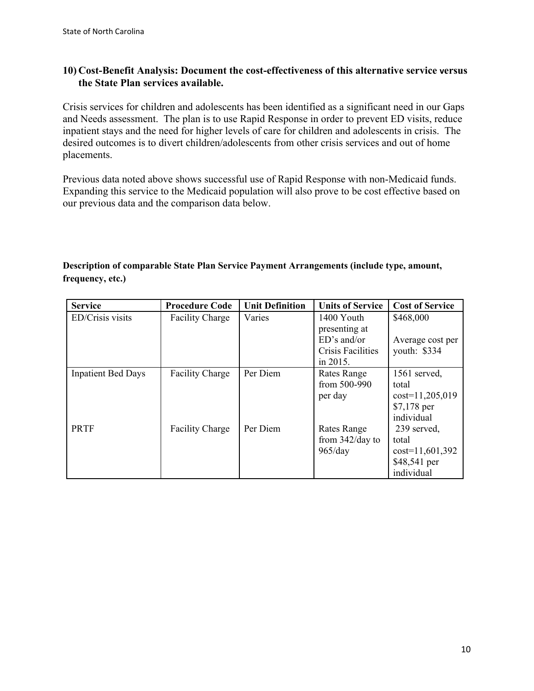### **10) Cost-Benefit Analysis: Document the cost-effectiveness of this alternative service versus the State Plan services available.**

Crisis services for children and adolescents has been identified as a significant need in our Gaps and Needs assessment. The plan is to use Rapid Response in order to prevent ED visits, reduce inpatient stays and the need for higher levels of care for children and adolescents in crisis. The desired outcomes is to divert children/adolescents from other crisis services and out of home placements.

Previous data noted above shows successful use of Rapid Response with non-Medicaid funds. Expanding this service to the Medicaid population will also prove to be cost effective based on our previous data and the comparison data below.

## **Description of comparable State Plan Service Payment Arrangements (include type, amount, frequency, etc.)**

| <b>Service</b>            | <b>Procedure Code</b>  | <b>Unit Definition</b> | <b>Units of Service</b>                                                          | <b>Cost of Service</b>                                                   |
|---------------------------|------------------------|------------------------|----------------------------------------------------------------------------------|--------------------------------------------------------------------------|
| ED/Crisis visits          | <b>Facility Charge</b> | Varies                 | 1400 Youth<br>presenting at<br>$ED's$ and/or<br>Crisis Facilities<br>in $2015$ . | \$468,000<br>Average cost per<br>youth: \$334                            |
| <b>Inpatient Bed Days</b> | <b>Facility Charge</b> | Per Diem               | Rates Range<br>from 500-990<br>per day                                           | 1561 served,<br>total<br>$cost=11,205,019$<br>$$7,178$ per<br>individual |
| <b>PRTF</b>               | <b>Facility Charge</b> | Per Diem               | <b>Rates Range</b><br>from $342$ /day to<br>965/day                              | 239 served,<br>total<br>$cost=11,601,392$<br>\$48,541 per<br>individual  |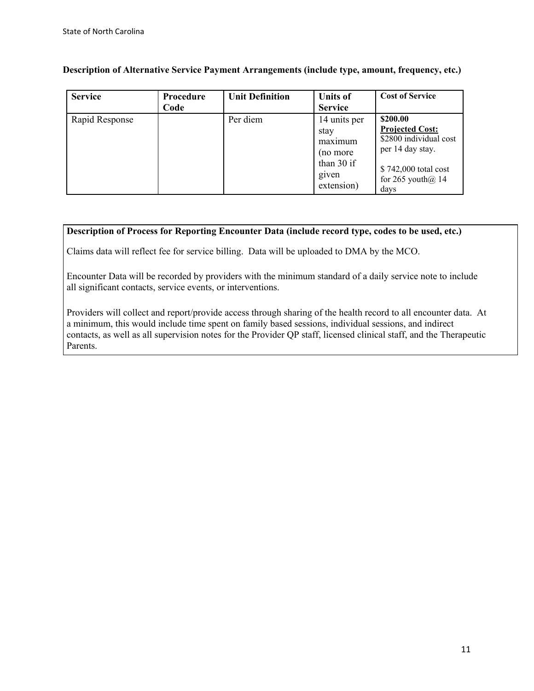**Description of Alternative Service Payment Arrangements (include type, amount, frequency, etc.)**

| <b>Service</b> | Procedure<br>Code | <b>Unit Definition</b> | <b>Units of</b><br><b>Service</b>                                                  | <b>Cost of Service</b>                                                                                                                     |
|----------------|-------------------|------------------------|------------------------------------------------------------------------------------|--------------------------------------------------------------------------------------------------------------------------------------------|
| Rapid Response |                   | Per diem               | 14 units per<br>stay<br>maximum<br>(no more<br>than $30$ if<br>given<br>extension) | \$200.00<br><b>Projected Cost:</b><br>\$2800 individual cost<br>per 14 day stay.<br>\$742,000 total cost<br>for 265 youth $(a)$ 14<br>days |

#### **Description of Process for Reporting Encounter Data (include record type, codes to be used, etc.)**

Claims data will reflect fee for service billing. Data will be uploaded to DMA by the MCO.

Encounter Data will be recorded by providers with the minimum standard of a daily service note to include all significant contacts, service events, or interventions.

Providers will collect and report/provide access through sharing of the health record to all encounter data. At a minimum, this would include time spent on family based sessions, individual sessions, and indirect contacts, as well as all supervision notes for the Provider QP staff, licensed clinical staff, and the Therapeutic Parents.